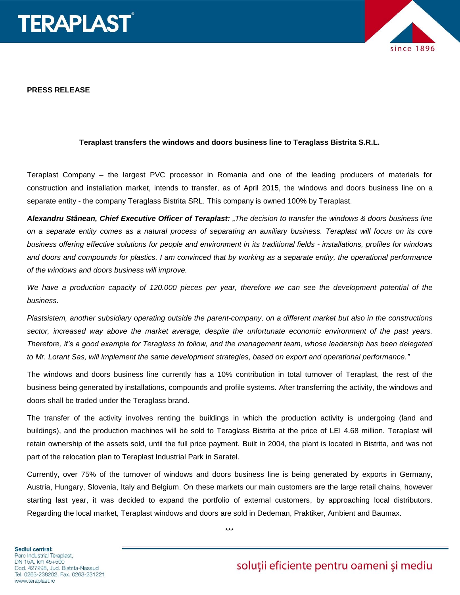



## **PRESS RELEASE**

## **Teraplast transfers the windows and doors business line to Teraglass Bistrita S.R.L.**

Teraplast Company – the largest PVC processor in Romania and one of the leading producers of materials for construction and installation market, intends to transfer, as of April 2015, the windows and doors business line on a separate entity - the company Teraglass Bistrita SRL. This company is owned 100% by Teraplast.

*Alexandru Stânean, Chief Executive Officer of Teraplast: "The decision to transfer the windows & doors business line on a separate entity comes as a natural process of separating an auxiliary business. Teraplast will focus on its core business offering effective solutions for people and environment in its traditional fields - installations, profiles for windows and doors and compounds for plastics. I am convinced that by working as a separate entity, the operational performance of the windows and doors business will improve.*

*We have a production capacity of 120.000 pieces per year, therefore we can see the development potential of the business.*

*Plastsistem, another subsidiary operating outside the parent-company, on a different market but also in the constructions sector, increased way above the market average, despite the [unfortunate](http://hallo.ro/search.do?l=ro&d=en&query=unfortunate) economic environment of the past years. Therefore, it's a good example for Teraglass to follow, and the management team, whose leadership has been delegated to Mr. Lorant Sas, will implement the same development strategies, based on export and operational performance."* 

The windows and doors business line currently has a 10% contribution in total turnover of Teraplast, the rest of the business being generated by installations, compounds and profile systems. After transferring the activity, the windows and doors shall be traded under the Teraglass brand.

The transfer of the activity involves renting the buildings in which the production activity is undergoing (land and buildings), and the production machines will be sold to Teraglass Bistrita at the price of LEI 4.68 million. Teraplast will retain ownership of the assets sold, until the full price payment. Built in 2004, the plant is located in Bistrita, and was not part of the relocation plan to Teraplast Industrial Park in Saratel.

Currently, over 75% of the turnover of windows and doors business line is being generated by exports in Germany, Austria, Hungary, Slovenia, Italy and Belgium. On these markets our main customers are the large retail chains, however starting last year, it was decided to expand the portfolio of external customers, by approaching local distributors. Regarding the local market, Teraplast windows and doors are sold in Dedeman, Praktiker, Ambient and Baumax.

**Sediul central:** Parc Industrial Teraplast, DN 15A, km 45+500 Cod. 427298, Jud. Bistrita-Nasaud Tel. 0263-238202, Fax. 0263-231221 www.teraplast.ro

soluții eficiente pentru oameni și mediu